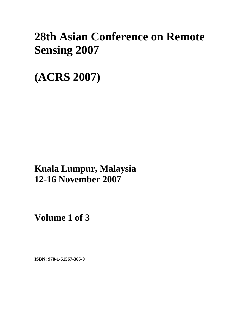# **28th Asian Conference on Remote Sensing 2007**

**(ACRS 2007)** 

**Kuala Lumpur, Malaysia 12-16 November 2007**

**Volume 1 of 3** 

**ISBN: 978-1-61567-365-0**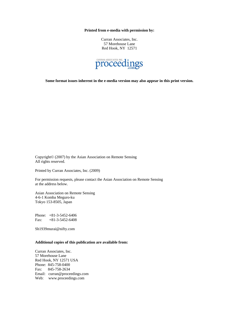**Printed from e-media with permission by:** 

Curran Associates, Inc. 57 Morehouse Lane Red Hook, NY 12571



**Some format issues inherent in the e-media version may also appear in this print version.** 

Copyright© (2007) by the Asian Association on Remote Sensing All rights reserved.

Printed by Curran Associates, Inc. (2009)

For permission requests, please contact the Asian Association on Remote Sensing at the address below.

Asian Association on Remote Sensing 4-6-1 Komba Meguro-ku Tokyo 153-8505, Japan

Phone: +81-3-5452-6406 Fax: +81-3-5452-6408

Sh1939murai@nifty.com

#### **Additional copies of this publication are available from:**

Curran Associates, Inc. 57 Morehouse Lane Red Hook, NY 12571 USA Phone: 845-758-0400 Fax: 845-758-2634 Email: curran@proceedings.com Web: www.proceedings.com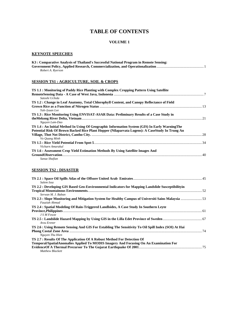# **TABLE OF CONTENTS**

#### **VOLUME 1**

#### **KEYNOTE SPEECHES**

| K3: Comparative Analysis of Thailand's Successful National Program in Remote Sensing: |
|---------------------------------------------------------------------------------------|
|                                                                                       |
| Robert A. Rverson                                                                     |

# **SESSION TS1 : AGRICULTURE, SOIL & CROPS**

| TS 1.1 : Monitoring of Paddy Rice Planting with Complex Cropping Pattern Using Satellite        |  |
|-------------------------------------------------------------------------------------------------|--|
|                                                                                                 |  |
| Satoshi Uchida                                                                                  |  |
| TS 1.2 : Change in Leaf Anatomy, Total Chlorophyll Content, and Canopy Reflectance of Field     |  |
|                                                                                                 |  |
| Yuh-Jyuan Lee                                                                                   |  |
| TS 1.3 : Rice Monitoring Using ENVISAT-ASAR Data: Preliminary Results of a Case Study in        |  |
|                                                                                                 |  |
| Nguyen Lam-Dao                                                                                  |  |
| TS 1.4 : An Initial Method In Using Of Geographic Information System (GIS) In Early Warning The |  |
| Potential Risk Of Brown Backed Rice Plant Hopper (Nilaparvata Lugens): A CaseStudy In Trung An  |  |
|                                                                                                 |  |
| Vo Ouang Minh                                                                                   |  |
|                                                                                                 |  |
| Vicharn Amarakul                                                                                |  |
| TS 1.6 : Assessment Crop Yield Estimation Methods By Using Satellite Images And                 |  |
|                                                                                                 |  |
| Sanaz Shafian                                                                                   |  |

**SESSION TS2 : DISASTER**

| Salem Issa                                                                                          |  |
|-----------------------------------------------------------------------------------------------------|--|
| TS 2.2 : Developing GIS Based Geo-Environmental Indicators for Mapping Landslide Susceptibilityin   |  |
| Serwan M. J. Baban                                                                                  |  |
| Fauziah Ahmad                                                                                       |  |
| TS 2.4 : Spatial Modeling Of Rain-Triggered Landlsides, A Case Study In Southern Leyte              |  |
|                                                                                                     |  |
| J S M Fowze                                                                                         |  |
| Arzu Erener                                                                                         |  |
| TS 2.6 : Using Remote Sensing And GIS For Establing The Sensitivity To Oil Spill Index (SOI) At Hai |  |
| Nguyen Thu Hien                                                                                     |  |
| TS 2.7: Results Of The Application Of A Robust Method For Detection Of                              |  |
| Temporal/SpatialAnomalies Applied To MODIS Imagery And Focusing On An Examination For               |  |
| <b>Matthew Blackett</b>                                                                             |  |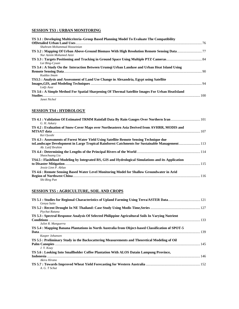# **SESSION TS3 : URBAN MONITORING**

| TS 3.1 : Developing Multicriteria–Group Based Planning Model To Evaluate The Compatibility                           |  |
|----------------------------------------------------------------------------------------------------------------------|--|
|                                                                                                                      |  |
| Shahram Mohammad Hosseinian                                                                                          |  |
| TS 3.2 : Mapping Of Urban Above-Ground Biomass With High Resolution Remote Sensing Data77<br>Nur Aznim Mohamed Azizi |  |
| Lai Bing-Cyuan                                                                                                       |  |
| TS 3.4 : A Study On the Interaction Between Urumqi Urban Landuse and Urban Heat Island Using                         |  |
| Kuddus Imam                                                                                                          |  |
| TS3.5 : Analysis and Assessment of Land Use Change in Alexandria, Egypt using Satellite                              |  |
| Lotfy Azaz                                                                                                           |  |
| TS 3.6 : A Simple Method For Spatial Sharpening Of Thermal Satellite Images For Urban HeatIsland                     |  |
|                                                                                                                      |  |
| Janet Nichol                                                                                                         |  |

# **SESSION TS4 : HYDROLOGY**

| TS 4.1 : Validation Of Estimated TRMM Rainfall Data By Rain Gauges Over Northern Iran  101                         |  |
|--------------------------------------------------------------------------------------------------------------------|--|
| G. H. Askary                                                                                                       |  |
| TS 4.2 : Evaluation of Snow-Cover Maps over Northeastern Asia Derived from AVHRR, MODIS and                        |  |
|                                                                                                                    |  |
| Kei Ovoshi                                                                                                         |  |
| TS 4.3 : Assessments of Forest Water Yield Using Satellite Remote Sensing Technique due                            |  |
| toLandscape Development in Large Tropical Rainforest Catchments for Sustainable Management113<br>Ab. Latif Ibrahim |  |
| Shaochuang Liu                                                                                                     |  |
| TS4.5 : Flashflood Modeling by Integrated RS, GIS and Hydrological Simulations and its Application                 |  |
| Jessie Linn P. Ablao                                                                                               |  |
| TS 4.6 : Remote Sensing Based Water Level Monitoring Model for Shallow Groundwater in Arid                         |  |
|                                                                                                                    |  |
| Shi-Bing Pan                                                                                                       |  |

# **SESSION TS5 : AGRICULTURE, SOIL AND CROPS**

| TS 5.1 : Studies for Regional Characteristics of Upland Farming Using Terra/ASTER Data 121<br>Genya Saito                |  |
|--------------------------------------------------------------------------------------------------------------------------|--|
| Piychat Ratana                                                                                                           |  |
| TS 5.3 : Spectral Response Analysis Of Selected Philippine Agricultural Soils In Varying Nutrient                        |  |
| Juliet R. Manguerra<br>TS 5.4 : Mapping Banana Plantations in North Australia from Object-based Classification of SPOT-5 |  |
| Kasper Johansen<br>TS 5.5 : Preliminary Study in the Backscattering Measurements and Theoretical Modeling of Oil         |  |
| J.Y. Koay<br>TS 5.6 : Looking Into Smallholder Coffee Plantation With ALOS Datain Lampung Province,                      |  |
| Akira Hirano                                                                                                             |  |
| A. G. T Schut                                                                                                            |  |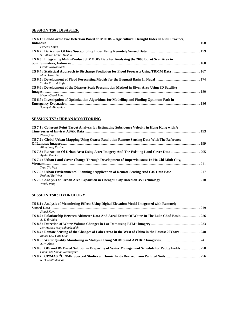# **SESSION TS6 : DISASTER**

| TS 6.1 : Land/Forest Fire Detection Based on MODIS - Agricultural Drought Index in Riau Province,                |  |
|------------------------------------------------------------------------------------------------------------------|--|
|                                                                                                                  |  |
| Parwati Sofan                                                                                                    |  |
| Siti Atikah Mohd, Hashim                                                                                         |  |
| TS 6.3 : Integrating Multi-Product of MODIS Data for Analyzing the 2006 Burnt Scar Area in                       |  |
|                                                                                                                  |  |
| Orbita Roswintiarti                                                                                              |  |
| TS 6.4 : Statistical Approach to Discharge Prediction for Flood Forecasts Using TRMM Data  167<br>M. K. Hazarika |  |
| Tanka Prasad Kafle                                                                                               |  |
| TS 6.6 : Development of the Disaster Scale Presumption Method in River Area Using 3D Satellite                   |  |
|                                                                                                                  |  |
| Hyeon-Cheol Park                                                                                                 |  |
| TS 6.7 : Investigation of Optimization Algorithms for Modelling and Finding Optimum Path in                      |  |
|                                                                                                                  |  |
| Somayeh Ahmadian                                                                                                 |  |

# **SESSION TS7 : URBAN MONITORING**

| TS 7.1 : Coherent Point Target Analysis for Estimating Subsidence Velocity in Hong Kong with A |  |
|------------------------------------------------------------------------------------------------|--|
|                                                                                                |  |
| Zhao Oing                                                                                      |  |
| TS 7.2 : Global Urban Mapping Using Coarse Resolution Remote Sensing Data With The Reference   |  |
|                                                                                                |  |
| Alimujiang Kasimu                                                                              |  |
| Ayako Tanaka                                                                                   |  |
| TS 7.4 : Urban Land Cover Change Through Development of Imperviousness In Ho Chi Minh City,    |  |
|                                                                                                |  |
| Tran Thi Van                                                                                   |  |
| Prahlad Rai Vyas                                                                               |  |
|                                                                                                |  |
| Wenfu Peng                                                                                     |  |

# **SESSION TS8 : HYDROLOGY**

| TS 8.1 : Analysis of Meandering Effects Using Digital Elevation Model Integrated with Remotely                     |      |
|--------------------------------------------------------------------------------------------------------------------|------|
| <b>Sensed Data.</b>                                                                                                | .219 |
| Sinasi Kaya                                                                                                        |      |
| TS 8.2 : Relationship Between Altimeter Data And Areal Extent Of Water In The Lake Chad Basin 226<br>A. T. Ibrahim |      |
| Mir Hassan Miryaghoobzadeh                                                                                         |      |
| Ruixia Liu, Yujie Liue                                                                                             |      |
| A. N. Alias                                                                                                        |      |
| Chaminda Saman Rathnayake                                                                                          |      |
| R. D. Senthilkumar                                                                                                 |      |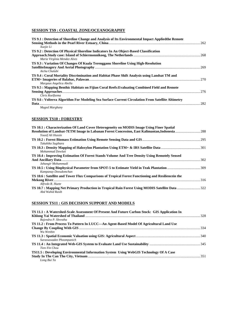# **SESSION TS9 : COASTAL ZONE/OCEANOGRAPHY**

| TS 9.1 : Detection of Shoreline Change and Analysis of Its Environmental Impact Applied the Remote |  |
|----------------------------------------------------------------------------------------------------|--|
|                                                                                                    |  |
| Xuejie Li                                                                                          |  |
| TS 9.2 : Detection Of Physical Shoreline Indicators In An Object-Based Classification              |  |
|                                                                                                    |  |
| Maria Virginia Mendez Alves                                                                        |  |
| TS 9.3 : Variation Of Changes Of Kuala Terengganu Shoreline Using High-Resolution                  |  |
|                                                                                                    |  |
| Aicha Chalabi                                                                                      |  |
| TS 9.4 : Coral Mortality Discrimination and Habitat Phase Shift Analysis using Landsat TM and      |  |
|                                                                                                    |  |
| Margaux Angelica Abella                                                                            |  |
| TS 9.5 : Mapping Benthic Habitats on Fijian Coral Reefs: Evaluating Combined Field and Remote      |  |
|                                                                                                    |  |
| Chris Roelfsema                                                                                    |  |
| TS 9.6 : Volterra Algorithm For Modeling Sea Surface Current Circulation From Satellite Altimetry  |  |
|                                                                                                    |  |
| Maged Marghany                                                                                     |  |

#### **SESSION TS10 : FORESTRY**

| TS 10.1 : Characterization Of Land Cover Heterogeneity on MODIS Image Using Finer Spatial          |  |
|----------------------------------------------------------------------------------------------------|--|
|                                                                                                    |  |
| Yousif Ali Hussin                                                                                  |  |
|                                                                                                    |  |
| Takahiko Sugihara                                                                                  |  |
|                                                                                                    |  |
| Mohammad Dowlati                                                                                   |  |
| TS 10.4 : Improving Estimation Of Forest Stands Volume And Tree Density Using Remotely Sensed      |  |
|                                                                                                    |  |
| Jahangir Mohammadi                                                                                 |  |
|                                                                                                    |  |
| Kampanay Deeudomchan                                                                               |  |
| TS 10.6 : Satellite and Tower Flux Comparisons of Tropical Forest Functioning and Resiliencein the |  |
|                                                                                                    |  |
| Alfredo R. Huete                                                                                   |  |
|                                                                                                    |  |
| Abd Wahid Rasib                                                                                    |  |

#### **SESSION TS11 : GIS DECISION SUPPORT AND MODELS**

| TS 11.1 : A Watershed-Scale Assessment Of Present And Future Carbon Stock: GIS Application In |  |
|-----------------------------------------------------------------------------------------------|--|
|                                                                                               |  |
| Rajendra P. Shrestha                                                                          |  |
| TS 11.2 : From Process To Pattern In LUCC—An Agent-Based Model Of Agricultural Land Use       |  |
|                                                                                               |  |
| Wu Wenbin                                                                                     |  |
|                                                                                               |  |
| Surassawadee Phoompanich                                                                      |  |
|                                                                                               |  |
| Tien-Yin Chou                                                                                 |  |
| TS11.5 : Developing Environmental Information System Using WebGIS Technology Of A Case        |  |
|                                                                                               |  |
| Long Bui Ta                                                                                   |  |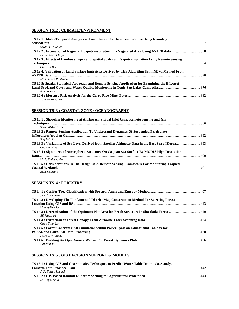# **SESSION TS12 : CLIMATE/ENVIRONMENT**

| TS 12.1 : Multi-Temporal Analysis of Land Use and Surface Temperature Using Remotely              |  |
|---------------------------------------------------------------------------------------------------|--|
|                                                                                                   |  |
| Salah A. H. Saleh                                                                                 |  |
|                                                                                                   |  |
| Hemu Kharel Kafle                                                                                 |  |
| TS 12.3 : Effects of Land-use Types and Spatial Scales on Evapotranspiration Using Remote Sensing |  |
|                                                                                                   |  |
| $Chih$ -Da Wu                                                                                     |  |
| TS 12.4: Validation of Land Surface Emissivity Derived by TES Algorithm Usinf NDVI Method From    |  |
|                                                                                                   |  |
| Mohammad Pahleyani                                                                                |  |
| TS 12.5: Spatial Statistical Approach and Remote Sensing Application for Examining the Effects of |  |
|                                                                                                   |  |
| Ros Sobonn                                                                                        |  |
|                                                                                                   |  |
| Yamato Yamaura                                                                                    |  |

#### **SESSION TS13 : COASTAL ZONE / OCEANOGRAPHY**

| TS 13.1 : Shoreline Monitoring at Al Hawasina Tidal Inlet Using Remote Sensing and GIS        |  |
|-----------------------------------------------------------------------------------------------|--|
|                                                                                               |  |
| Salim Al-Hatrushi                                                                             |  |
| TS 13.2 : Remote Sensing Application To Understand Dynamics Of Suspended Particulate          |  |
|                                                                                               |  |
| Saif Ud Din                                                                                   |  |
|                                                                                               |  |
| Cho Han-Keun                                                                                  |  |
| TS 13.4 : Signatures of Atmospheric Structure On Caspian Sea Surface By MODIS High Resolution |  |
|                                                                                               |  |
| M. A. Eydoshenko                                                                              |  |
| TS 13.5 : Considerations In The Design Of A Remote Sensing Framework For Monitoring Tropical  |  |
|                                                                                               |  |
| Renee Bartolo                                                                                 |  |

#### **SESSION TS14 : FORESTRY**

| Jyrki Tuominen                                                                                |  |
|-----------------------------------------------------------------------------------------------|--|
| TS 14.2 : Developing The Fundamental District Map Construction Method For Selecting Forest    |  |
|                                                                                               |  |
| Myung-Hee Jo                                                                                  |  |
| TS 14.3 : Determination of the Optimum Plot Area for Beech Structure in Shastkola Forest  420 |  |
| Ali Mastouri                                                                                  |  |
|                                                                                               |  |
| $Chao-Yuan Lo$                                                                                |  |
| TS 14.5 : Forest Coherent SAR Simulation within PolSARpro: an Educational Toolbox for         |  |
|                                                                                               |  |
| Mark L. Williams                                                                              |  |
|                                                                                               |  |
| $Jan\,Jihn$ - $Fa$                                                                            |  |

# **SESSION TS15 : GIS DECISION SUPPORT & MODELS**

| TS 15.1 : Using GIS and Geo-statistics Techniques to Predict Water Table Depth: Case study, |  |
|---------------------------------------------------------------------------------------------|--|
|                                                                                             |  |
| S. R. Fallah Shamsi                                                                         |  |
|                                                                                             |  |
| M. Gopal Naik                                                                               |  |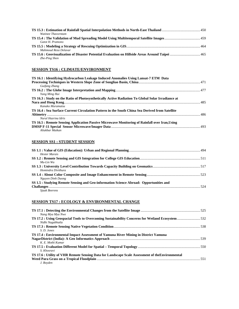| Watinee Thayorntam   |  |
|----------------------|--|
|                      |  |
| Gatot H. Pramono     |  |
|                      |  |
| Mahmoud Reza Delavar |  |
|                      |  |
| Zhe-Ping Shen        |  |

#### **SESSION TS16 : CLIMATE/ENVIRONMENT**

| TS 16.1 : Identifying Hydrocarbon Leakage Induced Anomalies Using Lansat-7 ETM Data               |  |
|---------------------------------------------------------------------------------------------------|--|
| Guifang Zhang                                                                                     |  |
|                                                                                                   |  |
| Yang Ming Hui                                                                                     |  |
| TS 16.3 : Study on the Ratio of Photosynthetically Active Radiation To Global Solar Irradiance at |  |
|                                                                                                   |  |
| Kanako Muramatsu                                                                                  |  |
| TS 16.4 : Sea Surface Current Circulation Pattern in the South China Sea Derived from Satellite   |  |
|                                                                                                   |  |
| Nurul Hazrina Idris                                                                               |  |
| TS 16.5 : Remote Sensing Application Passive Microwave Monitoring of Rainfall over Iran, Using    |  |
|                                                                                                   |  |
| Aliakbar Matkan                                                                                   |  |

#### **SESSION SS1 : STUDENT SESSION**

| <b>Hester Marais</b><br>$Mu$ -Lin Wu                                                                    |  |
|---------------------------------------------------------------------------------------------------------|--|
| Homindra Divithura                                                                                      |  |
| Nguyen Dinh Duong                                                                                       |  |
| SS 1.5 : Studying Remote Sensing and Geo-information Science Abroad: Opportunities and<br>Sjaak Beerens |  |

# **SESSION TS17 : ECOLOGY & ENVIRONMENTAL CHANGE**

| Nang Mya Mya Nwe<br>Nidhi Nagabhatla                                                                          |  |
|---------------------------------------------------------------------------------------------------------------|--|
| S. D. Jones                                                                                                   |  |
| TS 17.4 : Environmental Impact Assessment of Yamuna River Mining in District Yamuna<br>K. E. Mothi Kumar      |  |
| S. Khosravi                                                                                                   |  |
| TS 17.6 : Utility of VHR Remote Sensing Data for Landscape Scale Assessment of the Environmental<br>J. Boyden |  |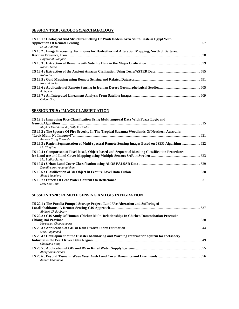# **SESSION TS18 : GEOLOGY/ARCHAEOLOGY**

| TS 18.1 : Geological And Structural Setting Of Wadi Hodein Area South Eastern Egypt With      |  |
|-----------------------------------------------------------------------------------------------|--|
|                                                                                               |  |
| M. M. Abdeen                                                                                  |  |
| TS 18.2 : Image Processing Techniques for Hydrothermal Alteration Mapping, North of Baftarea, |  |
|                                                                                               |  |
| Hojjatollah Ranjbar                                                                           |  |
|                                                                                               |  |
| Naoki Okada                                                                                   |  |
|                                                                                               |  |
| Kohta Imai                                                                                    |  |
|                                                                                               |  |
| Noraini Surip                                                                                 |  |
|                                                                                               |  |
| A. Sepehr                                                                                     |  |
|                                                                                               |  |
| Gulcan Sarp                                                                                   |  |

#### **SESSION TS19 : IMAGE CLASSIFICATION**

| TS 19.1 : Improving Rice Classification Using Multitemporal Data With Fuzzy Logic and              |  |
|----------------------------------------------------------------------------------------------------|--|
|                                                                                                    |  |
| Ithiphol Ekahitanonda, Sally E. Goldin                                                             |  |
| TS 19.2 : The Spectra Of Fire Severity In The Tropical Savanna Woodlands Of Northern Australia:    |  |
|                                                                                                    |  |
| <b>Andrew Craig Edwards</b>                                                                        |  |
| TS 19.3 : Region Segmentation of Multi-spectral Remote Sensing Images Based on JSEG Algorithm  622 |  |
| Liu Tingting                                                                                       |  |
| TS 19.4 : Comparison of Pixel-based, Object-based and Sequential Masking Classification Procedures |  |
|                                                                                                    |  |
| Md. Latifur Sarker                                                                                 |  |
|                                                                                                    |  |
| Damdinsuren Amarsaikhan                                                                            |  |
|                                                                                                    |  |
| Ahmad Javahery                                                                                     |  |
|                                                                                                    |  |
| Liew Soo Chin                                                                                      |  |

# **SESSION TS20 : REMOTE SENSING AND GIS INTEGRATION**

| TS 20.1 : The Purulia Pumped Storage Project, Land Use Alteration and Suffering of              |  |
|-------------------------------------------------------------------------------------------------|--|
|                                                                                                 |  |
| Abhisek Chakrabarty                                                                             |  |
| TS 20.2 : GIS Study Of Human-Chicken Multi-Relationships In Chicken Domestication ProcessIn     |  |
|                                                                                                 |  |
| Khruewan Champangern                                                                            |  |
|                                                                                                 |  |
| Sina Alaghmand                                                                                  |  |
| TS 20.4 : Development of the Disaster Monitoring and Warning Information System for the Fishery |  |
|                                                                                                 |  |
| Chaoyang Fang                                                                                   |  |
|                                                                                                 |  |
| Abolghasem Akbari                                                                               |  |
|                                                                                                 |  |
| Andree Ekadinata                                                                                |  |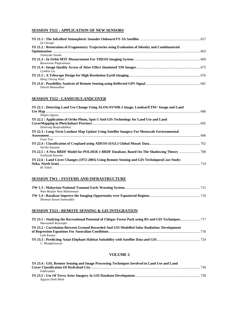#### **SESSION TS21 : APPLICATION OF NEW SENSORS**

| Oi Chengli                                                                                       |  |
|--------------------------------------------------------------------------------------------------|--|
| TS 21.2 : Restoration of Fragmentary Trajectories using Evaluation of Identity and Combinatorial |  |
| Tomovuki Suzuki                                                                                  |  |
|                                                                                                  |  |
| Raweewan Nutpramoon                                                                              |  |
| Cynthia Liu                                                                                      |  |
| Heng Cherng Woei                                                                                 |  |
| Dinesh Manandhar                                                                                 |  |

#### **SESSION TS22 : LANDUSE/LANDCOVER**

| TS 22.1 : Detecting Land Use Change Using ALOS/AVNIR-2 image, Landsat/ETM+ Image and Land     |  |
|-----------------------------------------------------------------------------------------------|--|
|                                                                                               |  |
| Shigeo Ogawa                                                                                  |  |
| TS 22.2 : Application of Ortho Photo, Spot-5 And GIS Technology for Land Use and Land         |  |
|                                                                                               |  |
| Damrong Buapradabkul                                                                          |  |
| TS 22.3 : Long-Term Landuse Map Update Using Satellite Imagery For Mesoscale Environmental    |  |
|                                                                                               |  |
| Fuan Tsai                                                                                     |  |
|                                                                                               |  |
| Noriko Soyama                                                                                 |  |
| Yoshiyuki Kawata                                                                              |  |
| TS 22.6 : Land Cover Changes (1972-2005) Using Remote Sensing and GIS Techniques (Case Study: |  |
|                                                                                               |  |
| M. Vakili                                                                                     |  |

# **SESSION TW1 : SYSTEMS AND INFRASTRUCTURE**

| Wan Mazlan Wan Muhammad |  |
|-------------------------|--|
|                         |  |
| Shamsul Azwan Samsuddin |  |

#### **SESSION TS23 : REMOTE SENSING & GIS INTEGRATION**

| Masoumeh Rezvanfar                                                                          |  |
|---------------------------------------------------------------------------------------------|--|
| TS 23.2 : Correlation Between Ground-Recorded And GIS Modelled Solar Radiation: Development |  |
|                                                                                             |  |
| Lalit Kumar                                                                                 |  |
|                                                                                             |  |
| C. Mongkolsawat                                                                             |  |

#### **VOLUME 2**

| TS 23.4 : GIS, Remote Sensing and Image Processing Techniques Involved in Land Use and Land |  |
|---------------------------------------------------------------------------------------------|--|
|                                                                                             |  |
| <b>Fakhruddin</b>                                                                           |  |
|                                                                                             |  |
| Nguyen Dinh Minh                                                                            |  |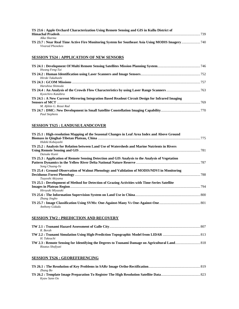| TS 23.6 : Apple Orchard Characterization Using Remote Sensing and GIS in Kullu District of |  |
|--------------------------------------------------------------------------------------------|--|
| Himachal Pradesh                                                                           |  |
| Alka Sharma                                                                                |  |
|                                                                                            |  |
| Vivarad Phonekeo                                                                           |  |

# **SESSION TS24 : APPLICATION OF NEW SENSORS**

| Hwang Feng-Tai                                                                                  |  |
|-------------------------------------------------------------------------------------------------|--|
|                                                                                                 |  |
| Hiroki Takahashi                                                                                |  |
|                                                                                                 |  |
| Haruhisa Shimoda                                                                                |  |
| Kyoichiro Katabira                                                                              |  |
| TS 24.5 : A New Current Mirroring Integration Based Readout Circuit Design for Infrared Imaging |  |
| M. Afshin G. Rezai Rad                                                                          |  |
| <b>Paul Stephens</b>                                                                            |  |

# **SESSION TS25 : LANDUSE/LANDCOVER**

| TS 25.1 : High-resolution Mapping of the Seasonal Changes in Leaf Area Index and Above Ground    |  |
|--------------------------------------------------------------------------------------------------|--|
|                                                                                                  |  |
| Hideki Kobayashi                                                                                 |  |
| TS 25.2 : Analysis for Relation between Land Use of Watersheds and Marine Nutrients in Rivers    |  |
|                                                                                                  |  |
| Daisuke Kunii                                                                                    |  |
| TS 25.3 : Application of Remote Sensing Detection and GIS Analysis to the Analysis of Vegetation |  |
|                                                                                                  |  |
| Song Chuang-Ye                                                                                   |  |
| TS 25.4 : Ground Observation of Walnut Phenology and Validation of MODIS/NDVI in Monitoring      |  |
|                                                                                                  |  |
| Tsuyoshi Akiyama                                                                                 |  |
| TS 25.5 : Development of Method for Detection of Grazing Activities with Time-Series Satellite   |  |
|                                                                                                  |  |
| Hiroyuki Miyazaki                                                                                |  |
|                                                                                                  |  |
| Zhang Jingbo                                                                                     |  |
|                                                                                                  |  |
| Anthony Gidudu                                                                                   |  |

# **SESSION TW2 : PREDICTION AND RECOVERY**

| R. Borah          |  |
|-------------------|--|
|                   |  |
| H. Takeuchi       |  |
|                   |  |
| Rizatus Shofiyati |  |

# **SESSION TS26 : GEOREFERENCING**

| Zhang Bo     |  |
|--------------|--|
|              |  |
| Kvaw Sann Oo |  |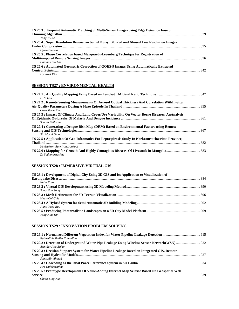| TS 26.3 : Tie-point Automatic Matching of Multi-Sensor Images using Edge Detection base on    |  |
|-----------------------------------------------------------------------------------------------|--|
|                                                                                               |  |
| Yong-Il Lee                                                                                   |  |
| TS 26.4 : Super Resolution Reconstruction of Noisy, Blurred and Aliased Low Resolution Images |  |
|                                                                                               |  |
| Livakathunisa                                                                                 |  |
| TS 26.5 : Phase Correlation based Marquardt-Levenberg Technique for Registration of           |  |
|                                                                                               |  |
| Hassan Ghorbani                                                                               |  |
| TS 26.6 : Automated Geometric Correction of GOES-9 Images Using Automatically Extracted       |  |
|                                                                                               |  |
| Hyunsuk Kim                                                                                   |  |

#### **SESSION TS27 : ENVIRONMENTAL HEALTH**

| H. S. Lim                                                                                        |  |
|--------------------------------------------------------------------------------------------------|--|
| TS 27.2 : Remote Sensing Measurements Of Aerosol Optical Thickness And Correlation WithIn-Situ   |  |
|                                                                                                  |  |
| Chew Boon Ning                                                                                   |  |
| TS 27.3 : Impact Of Climate And Land Cover/Use Variability On Vector Borne Diseases: AnAnalysis  |  |
|                                                                                                  |  |
| Sumith Pathirana                                                                                 |  |
| TS 27.4 : Generating a Dengue Risk Map (DRM) Based on Environmental Factors using Remote         |  |
|                                                                                                  |  |
| Siti Morni Umor                                                                                  |  |
| TS 27.5 : Application Of Geo-Informatics For Leptospirosis Study In Narkronratchasrima Province, |  |
| <b>Thailand</b>                                                                                  |  |
| Kridsakron Auynirundronkool                                                                      |  |
|                                                                                                  |  |
| D. Sodnomragchaa                                                                                 |  |

# **SESSION TS28 : IMMERSIVE VIRTUAL GIS**

| TS 28.1 : Development of Digital City Using 3D GIS and Its Application to Visualization of |  |
|--------------------------------------------------------------------------------------------|--|
|                                                                                            |  |
| Keita Kato                                                                                 |  |
|                                                                                            |  |
| Sang-Hun Song                                                                              |  |
|                                                                                            |  |
| Huan-Chi Chiu                                                                              |  |
|                                                                                            |  |
| Jiann-Yeou Rau                                                                             |  |
|                                                                                            |  |
| Yong Kiat Tan                                                                              |  |

# **SESSION TS29 : INNOVATION PROBLEM SOLVING**

| Faidrullah Sheikh Naimullah                                                                                        |  |
|--------------------------------------------------------------------------------------------------------------------|--|
| TS 29.2 : Detection of Underground Water Pipe Leakage Using Wireless Sensor Network(WSN)  922<br>Asmidar Abu Bakar |  |
| TS 29.3 : Decision Support System for Water Pipeline Leakage Based on Integrated GIS, Remote                       |  |
| Samsudin Ahmad                                                                                                     |  |
| <b>Hrs</b> Thilakarathne                                                                                           |  |
| TS 29.5 : Prototype Development Of Value-Adding Internet Map Service Based On Geospatial Web                       |  |
| $\alpha$ $\alpha$ $\alpha$ $\alpha$ $\alpha$ $\alpha$                                                              |  |

*Chiao-Ling Kuo*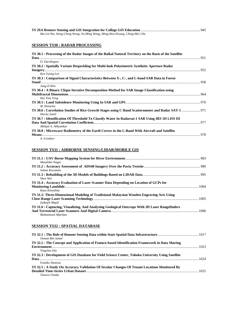| Mu-Lin Wu, Deng-Ching Wong, Yu-Ming Wang, Ming-Hon Hwang, Ching-Mei Chu |  |
|-------------------------------------------------------------------------|--|

# **SESSION TS30 : RADAR PROCESSING**

| TS 30.1 : Processing of the Radar Images of the Baikal Natural Territory on the Basis of the Satellite                  |  |
|-------------------------------------------------------------------------------------------------------------------------|--|
| D. Darizhapov                                                                                                           |  |
| TS 30.2 : Spatially Variant Despeckling for Multi-look Polarimetric Synthetic Aperture Radar                            |  |
| Ken Yoong Lee                                                                                                           |  |
| TS 30.3 : Comparison of Signal Characteristics Between X-, C-, and L-band SAR Data in Forest<br>Jung-Il Shin            |  |
| TS 30.4 : A Binary Clique Iterative Decomposition Method for SAR Image Classification using                             |  |
| Hse Tzia Teng<br>M. Hosseini                                                                                            |  |
| TS 30.6 : Correlation Studies of Rice Growth Stages using C-Band Scatterometer and Radar SAT-1  971<br>Harita Jamil     |  |
| TS 30.7 : Identification Of Threshold To Classify Water In Radarsat-1 SAR Using IRS 1D LISS III<br>Abhijat A. Abhyankar |  |
| TS 30.8 : Microwave Radiometry of the Earth Covers in the L-Band With Aircraft and Satellite<br>A. Grankov              |  |

#### **SESSION TS31 : AIRBORNE SENSING/LIDAR/MOBILE GIS**

| Masahiko Nagai                                                                                                      |  |
|---------------------------------------------------------------------------------------------------------------------|--|
| Sultan Kocaman                                                                                                      |  |
| Shen Wei                                                                                                            |  |
| TS 31.4 : Accuracy Evaluation of Laser Scanner Data Depending on Location of GCPs for<br>Kazu Kinoshita             |  |
| TS 31.5: Three-Dimensional Modeling of Tradisional Malaysian Wooden Engraving Arts Using<br>Zulkepli Majid          |  |
| TS 31.6 : Capturing, Visualizing, And Analyzing Geological Outcrops With 3D Laser Rangefinders<br>Mohammed Alfarhan |  |

# **SESSION TS32 : SPATIAL DATABASE**

| Osman Bin Jamal                                                                                               |      |
|---------------------------------------------------------------------------------------------------------------|------|
| TS 32.2 : The Concept and Application of Feature-based Identification Framework in Data Sharing               | 1023 |
| Yingchiu Dia                                                                                                  |      |
| TS 32.3 : Development of GIS Database for Field Science Center, Tohoku University Using Satellite             | 1024 |
| Fumiko Namiwa<br>TS 32.5 : A Study On Accuracy Validation Of Secular Changes Of Tenant Locations Monitored By |      |
| Tatsuro Osada                                                                                                 | 1025 |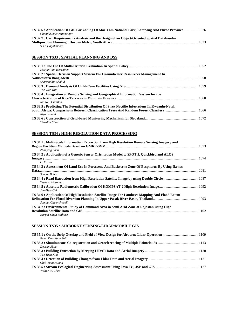| TS 32.6 : Application Of GIS For Zoning Of Mae Yom National Park, Lampang And Phrae Province 1026 |  |
|---------------------------------------------------------------------------------------------------|--|
| Chanika Sukawattanavijit                                                                          |  |
| TS 32.7 : User Requirements Analysis and the Design of an Object-Oriented Spatial Databasefor     |  |
|                                                                                                   |  |
| S. O. Hagahmoodi                                                                                  |  |

#### **SESSION TS33 : SPATIAL PLANNING AND DSS**

| Marjan Van Herwijnen                                                                             |  |
|--------------------------------------------------------------------------------------------------|--|
| TS 33.2 : Spatial Decision Support System For Groundwater Resources Management In                |  |
| Shamsuddin Shahid                                                                                |  |
| Tae Woo Kim                                                                                      |  |
| TS 33.4 : Integration of Remote Sensing and Geographical Information System for the              |  |
| Ian Neil Culallad                                                                                |  |
| TS 33.5 : Predicting The Potential Distribution Of Sirex Noctilio Infestations In Kwazulu-Natal, |  |
| Rivad Ismail                                                                                     |  |
| Tien-Yin Chou                                                                                    |  |

# **SESSION TS34 : HIGH RESOLUTION DATA PROCESSING**

| TS 34.1 : Multi-Scale Information Extraction from High Resolution Remote Sensing Imagery and   |  |
|------------------------------------------------------------------------------------------------|--|
|                                                                                                |  |
| Zhanfeng Shen                                                                                  |  |
| TS 34.2 : Application of a Generic Sensor Orientation Model to SPOT 5, Quickbird and ALOS      |  |
|                                                                                                |  |
| C. Fraser                                                                                      |  |
| TS 34.3 : Assessment Of Land Use In Forescene And Backscene Zone Of Bosphorus By Using Ikonos  |  |
|                                                                                                |  |
| Sancar Buhur                                                                                   |  |
|                                                                                                |  |
| Tsukasa Hosomura                                                                               |  |
|                                                                                                |  |
| Jun-Hwa Chi                                                                                    |  |
| TS 34.6 : Application Of High Resolution Satellite Image For Landuses Mapping And Flood Extent |  |
|                                                                                                |  |
| Sombat Chuenchooklin                                                                           |  |
| TS 34.7 : Environmental Study of Command Area in Semi Arid Zone of Rajastan Using High         |  |
|                                                                                                |  |
| Narpat Singh Rathore                                                                           |  |

#### **SESSION TS35 : AIRBORNE SENSING/LIDAR/MOBILE GIS**

| Peter Tian-Yuan Shih |  |
|----------------------|--|
|                      |  |
| Devrim Akca          |  |
|                      |  |
| Tae-Hwa Kim          |  |
|                      |  |
| Chih-Yuan Huang      |  |
|                      |  |
| Walter W. Chen       |  |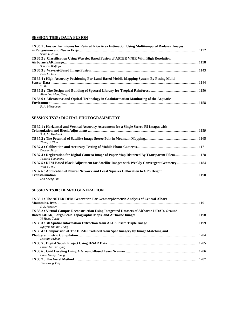#### **SESSION TS36 : DATA FUSION**

| TS 36.1 : Fusion Techniques for Rainfed Rice Area Estimation Using Multitemporal RadarsatImages |  |
|-------------------------------------------------------------------------------------------------|--|
|                                                                                                 |  |
| Sonia L. Asilo                                                                                  |  |
| TS 36.2: Classification Using Wavelet Based Fusion of ASTER VNIR With High Resolution           |  |
|                                                                                                 |  |
| Suharto Widjojo                                                                                 |  |
|                                                                                                 |  |
| Pai-Hui Hsu                                                                                     |  |
| TS 36.4 : High-Accuracy Positioning For Land-Based Mobile Mapping System By Fusing Multi-       |  |
|                                                                                                 |  |
| Y. Shi                                                                                          |  |
|                                                                                                 |  |
| Alvin Lau Meng Seng                                                                             |  |
| TS 36.6: Microwave and Optical Technology in Geoinformation Monitoring of the Acquatic          |  |
|                                                                                                 |  |
| F. A. Mkrtchyan                                                                                 |  |
|                                                                                                 |  |

# **SESSION TS37 : DIGITAL PHOTOGRAMMETRY**

| TS 37.1 : Horizontal and Vertical Accuracy Assessment for a Single Stereo P5 Images with         |  |
|--------------------------------------------------------------------------------------------------|--|
|                                                                                                  |  |
| S. A. M. Hashemi                                                                                 |  |
|                                                                                                  |  |
| Zhang Ji Xian                                                                                    |  |
|                                                                                                  |  |
| Devrim Akca                                                                                      |  |
| TS 37.4: Registration for Digital Camera Image of Paper Map Distorted By Transparent Filem  1178 |  |
| Takashi Yamamoto                                                                                 |  |
| TS 37.5 : RFM-Based Block Adjustment for Satellite Images with Weakly Convergent Geometry  1184  |  |
| Wan-Yu Wu                                                                                        |  |
| TS 37.6 : Application of Neural Network and Least Squares Collocation to GPS Height              |  |
|                                                                                                  |  |
| Lao-Sheng Lin                                                                                    |  |
|                                                                                                  |  |

#### **SESSION TS38 : DEM/3D GENERATION**

| TS 38.1 : The ASTER DEM Generation For Geomorphometric Analysis of Central Alborz            |  |
|----------------------------------------------------------------------------------------------|--|
|                                                                                              |  |
| S. R. Mousavi                                                                                |  |
| TS 38.2 : Virtual Campus Reconstruction Using Integrated Datasets of Airborne LiDAR, Ground- |  |
|                                                                                              |  |
| Yi-Hsing Tseng                                                                               |  |
|                                                                                              |  |
| Nguyen Thi Mai Dung                                                                          |  |
| TS 38.4 : Comparision of The DEMs Produced from Spot Imagery by Image Matching and           |  |
|                                                                                              |  |
| Mustafa Erdoan                                                                               |  |
|                                                                                              |  |
| Doria Tai Yun Tyng                                                                           |  |
|                                                                                              |  |
| Hao-Hsiung Huang                                                                             |  |
|                                                                                              |  |
| Jaan-Rong Tsay                                                                               |  |
|                                                                                              |  |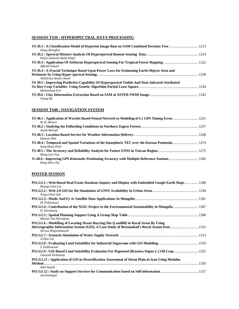# **SESSION TS39 : HYPERSPECTRAL DATA PROCESSING**

| Wang Zhenghai                                                                                   |  |
|-------------------------------------------------------------------------------------------------|--|
| Helmi Zulhaidi Mohd Shafri                                                                      |  |
| Affendi Suhaili                                                                                 |  |
| TS 39.4 : A Fractal Technique Based Upon Power Laws for Estimating Earth Objects Area and       |  |
| Abdolreza Ansari Amoli                                                                          |  |
| TS 39.5 : Improving Predictive Capability Of Hyperspectral Visible And Near-Infrared Attributed |  |
| Muhammad Evri                                                                                   |  |
| Cheng Bo                                                                                        |  |

#### **SESSION TS40 : NAVIGATION SYSTEM**

| M. R. Mosavi                                                                                                 |  |
|--------------------------------------------------------------------------------------------------------------|--|
| Aiuob Moradi                                                                                                 |  |
| Daevun Shin                                                                                                  |  |
| Sang-Hoon Park                                                                                               |  |
| Meng-Lun Tsai                                                                                                |  |
| Ts 40.6 : Improving GPS Kinematic Positioning Accuracy with Multiple Reference Stations 1282<br>Kang-Wen Chu |  |

# **POSTER SESSION**

| PS1.G1.1 : Web-Based Real Estate Database Inquiry and Display with Embedded Google Earth Maps  1288<br>Huang-Chen Liu |  |
|-----------------------------------------------------------------------------------------------------------------------|--|
| Yong-Cheol Suh                                                                                                        |  |
| M. Erdenetuva                                                                                                         |  |
| PS1.G1.4 : Contribution of the NGIC Project to the Environmental Sustainability in Mongolia  1307<br>D. Narantuya     |  |
| Marjan Van Herwijnen                                                                                                  |  |
| PS1.G1.6 : Modelling of Locating Waste Burying Site (Landfill) in Rural Areas By Using<br>Alireza Khajeshakouhi       |  |
| Ji-Hao Lin                                                                                                            |  |
| S. Paiboonsak                                                                                                         |  |
| PS1.G1.9 : GIS-Based Land Suitability Evaluation For Rapeseed (Brassica Napus L.) Oil Crop 1325<br>Ghasemi Pirbalouti |  |
| PS1.G1.11: Application of GIS in Desertification Assessment of Sistan Plain in Iran Using Medalus                     |  |
| Adel Sepehr<br>Jun Kumagai                                                                                            |  |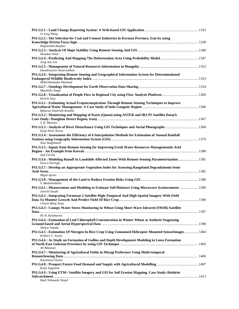| Li-Ling Wang                                                                                                                            |  |
|-----------------------------------------------------------------------------------------------------------------------------------------|--|
| PS1.G2.2 : Site Selection for Coal and Cement Industries in Kerman Province, Iran by using                                              |  |
| Hojjatollah Ranjbar                                                                                                                     |  |
| Hamdan Omar                                                                                                                             |  |
| Jung-Soo Lee                                                                                                                            |  |
| Damdinsuren Amarsaikhan                                                                                                                 |  |
| PS1.G2.6 : Integrating Remote Sensing and Geographical Information System for Determinationof                                           |  |
| Mohd Rizaludin Mahmud                                                                                                                   |  |
| Masahiko Nagai                                                                                                                          |  |
| Keiichi Sato                                                                                                                            |  |
| PS1.G3.1 : Estimating Actual Evapotranspiration Through Remote Sensing Techniques to Improve                                            |  |
| Baburao Dashrath Kamble                                                                                                                 |  |
| PS1.G3.2 : Monitoring and Mapping of Kariz (Qanat) using ASTER and IRS P5 Satellite Data(A                                              |  |
| S. R. Mousavi                                                                                                                           |  |
| Eunji Park, Korea                                                                                                                       |  |
| PS1.G3.4 : Assessment the Efficiency of 6 Interpolation Methods for Estimation of Annual Rainfall                                       |  |
| Sina Alaghmand                                                                                                                          |  |
| PS1.G3.5 : Inputs from Remote Sensing for Improving Fresh Water Resources Managementin Arid                                             |  |
| Saif Ud Din                                                                                                                             |  |
| PS1.G3.6 : Modeling Runoff In Landslide Affected Zones With Remote Sensing Parameterization 1381<br>Enrico Paringit                     |  |
| PS1.G3.7 : Develop an Appropriate Vegetation Index for Assessing Rangeland Degradationin Semi-                                          |  |
| Majid Ajorlo                                                                                                                            |  |
| S. Modallaldoust                                                                                                                        |  |
| PS1.G4.1 : Measurement and Modeling to Estimate Soil Moisture Using Microwave Scatterometer  1390<br>Junichi Susaki                     |  |
| PS1.G4.2 : Integrating Formosat-2 Satellite High-Temporal And High-Spatial Imagery With Field                                           |  |
| Chwen-Ming Yang                                                                                                                         |  |
| PS1.G4.3 : Canopy Water Stress Monitoring In Wheat Using Short Wave Infrared (SWIR) Satellite                                           |  |
| M. H. Kalubarme                                                                                                                         |  |
| PS1.G4.4 : Estimation of Leaf Chlorophyll Concentration in Winter Wheat at Anthesis Stageusing                                          |  |
| Shinya Tanaka<br>PS1.G4.5 : Estimation Of Nitrogen In Rice Crop Using Unmanned Helicopter Mounted SensorImages 1404<br>Kishore C. Swain |  |
|                                                                                                                                         |  |
| PS1.G4.6 : As Study on Formation of Gullies and Depth Development Modeling in Loess Formation<br>Ali Mastouri                           |  |
|                                                                                                                                         |  |
| PS1.G4.7 : Monitoring of Agricultural Fields in Miyagi Prefecture Using Multi-temporal<br>Kazumasa Osawa                                |  |
| Kenji Sugimoto                                                                                                                          |  |
| PS1.G4.9 : Using ETM+ Satellite Imagery and GIS for Soil Erosion Mapping, Case Study: Abshirin                                          |  |
| Hadi Tahmasbi Nejad                                                                                                                     |  |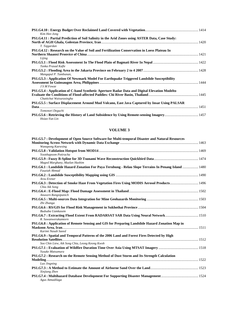| Kim Hee-Jong                                                                                    |  |
|-------------------------------------------------------------------------------------------------|--|
| PS1.G4.11 : Partial Prediction of Soil Salinity in the Arid Zones using ASTER Data, Case Study: |  |
|                                                                                                 |  |
| T. Tajgardan                                                                                    |  |
| PS1.G4.12 : Research on the Value of Soil and Fertilization Conservation in Loess Plateau In    |  |
|                                                                                                 |  |
| Lijing                                                                                          |  |
| Tanka Prasad Kafle                                                                              |  |
| Mangapul P. Tambunan,                                                                           |  |
| PS1.G5.3: Application Of Newmark Model For Earthquake Triggered Landslide Susceptibility        |  |
|                                                                                                 |  |
| J S M Fowze                                                                                     |  |
| PS1.G5.4 : Application of C-band Synthetic Aperture Radar Data and Digital Elevation Modelto    |  |
| Chattichai Waisurasingha                                                                        |  |
| PS1,G5.5 : Surface Displacement Around Mud Volcano, East Java Captured by Insar Using PALSAR    |  |
|                                                                                                 |  |
| Tomonori Deguchi                                                                                |  |
|                                                                                                 |  |
| Hsiao-Yun Lin                                                                                   |  |

#### **VOLUME 3**

| PS1.G5.7 : Development of Open Source Software for Multi-temporal Disaster and Natural Resources                      |  |
|-----------------------------------------------------------------------------------------------------------------------|--|
|                                                                                                                       |  |
| <b>Wanapong Kaewsing</b>                                                                                              |  |
|                                                                                                                       |  |
| Yootthapoom Potiracha                                                                                                 |  |
| Maged Marghany, Mazlan Hashim                                                                                         |  |
| PS1.G6.1 : Landslide Hazard Zonation For Paya Terubung - Relau Slope Terrains In Penang Island  1480<br>Fauziah Ahmad |  |
|                                                                                                                       |  |
| Arzu Erener                                                                                                           |  |
| Chia Aik Song                                                                                                         |  |
|                                                                                                                       |  |
| Anusorn Rangsipanich                                                                                                  |  |
| Zhi Zhanga                                                                                                            |  |
| Budsaba Uamkasem                                                                                                      |  |
| PS1.G6.7: Extracting Flood Extent From RADARSAT SAR Data Using Neural Network 1510<br>R. Suwanwerakamtorn             |  |
| PS1.G6.8 : Application of Remote Sensing and GIS for Preparing Landslide Hazard Zonation Map in                       |  |
|                                                                                                                       |  |
| Karimi Nasab Saeed                                                                                                    |  |
| PS1.G6.9 : Spatial and Temporal Patterns of the 2006 Land and Forest Fires Detected by High                           |  |
|                                                                                                                       |  |
| Soo Chin Liew, Aik Song Chia, Leong Keong Kwoh                                                                        |  |
| Yusuke Matsumura                                                                                                      |  |
| PS1.G7.2 : Research on the Remote Sensing Method of Dust Storm and Its Strength Calculation                           |  |
|                                                                                                                       |  |
| Luo Jingning                                                                                                          |  |
| Xinjiang Zhen                                                                                                         |  |
| Agus Atmadilaga                                                                                                       |  |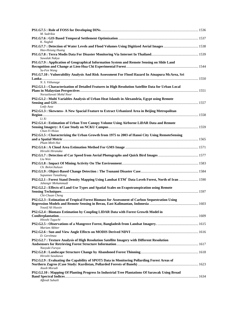| M. Sadrikia<br>K. Naghdi                                                                                                           |  |
|------------------------------------------------------------------------------------------------------------------------------------|--|
| Hao-Hsiung Huang                                                                                                                   |  |
| Suwalak Nakya                                                                                                                      |  |
| PS1.G7.9 : Application of Geographical Information System and Remote Sensing on Slide Land<br>Su-Fen Wang                          |  |
| PS1.G7.10 : Vulnerability Analysis And Risk Assessment For Flood Hazard In Atnapura McArea, Sri                                    |  |
| N. S. Vithanage<br>PS2.G1.1 : Characterization of Detailed Features in High Resolution Satellite Data for Urban Local              |  |
| Norzailawati Mohd Noor<br>PS2.G1.2 : Multi Variables Analysis of Urban Heat Islands in Alexandria, Egypt using Remote              |  |
| Lotfy Azaz<br>PS2.G1.3 : Skewness- A New Spacial Feature to Extract Urbanized Area in Beijing Metropolitan                         |  |
| Li Xi<br>PS2.G1.4 : Estimation of Urban Tree Canopy Volume Using Airborne LiDAR Data and Remote                                    |  |
| Chun-Yi Hsiao<br>PS2.G1.5 : Characterizing the Urban Growth from 1975 to 2003 of Hanoi City Using RemoteSensing                    |  |
| Pham Minh Hai                                                                                                                      |  |
| Hiroshi Hiranaka                                                                                                                   |  |
| Liu Wen                                                                                                                            |  |
| Ch. Bolorchuluun                                                                                                                   |  |
| Supannee Tanathong                                                                                                                 |  |
| PS2.G2.1: Forest Stand Density Mapping Using Landsat ETM <sup>+</sup> Data Loveh Forest, North of Iran  1590<br>Jahangir Mohammadi |  |
| PS2.G2.2 : Effects of Land-Use Types and Spatial Scales on Evapotranspiration using Remote<br>Chi-Chuan Cheng                      |  |
| PS2.G2.3 : Estimation of Tropical Forest Biomass for Assessment of Carbon Sequestration Using                                      |  |
| Yousif Ali Hussin<br>PS2.G2.4 : Biomass Estimation by Coupling LIDAR Data with Forest Growth Model in                              |  |
| Hitoshi Taguchi                                                                                                                    |  |
| Mariam Akhter                                                                                                                      |  |
| D. Gerelmaa<br>PS2.G2.7 : Texture Analysis of High Resolution Satellite Imagery with Different Resolution<br>Naoyuki Furuya        |  |
|                                                                                                                                    |  |
| Hiroshi Sasakawa<br>PS2.G2.9 : Evaluating the Capability of SPOT5 Data in Monitoring Pollarding Forest Areas of                    |  |
| Aiuob Moradi<br>PS2.G2.10 : Mapping Of Planting Progress In Industrial Tree Plantations Of Sarawak Using Broad<br>Affendi Suhaili  |  |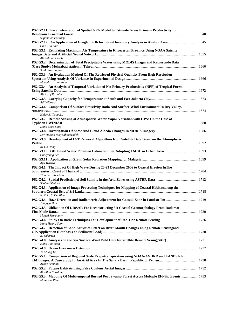| PS2.G2.11: Parameterization of Spatial 3-PG Model to Estimate Gross Primary Productivity for                                  |  |
|-------------------------------------------------------------------------------------------------------------------------------|--|
| Supannika Potithep                                                                                                            |  |
| Chia-Hui Shih                                                                                                                 |  |
| PS2.G3.1 : Estimating Maximum Air Temperature in Khoozestan Province Using NOAA Satelite<br>Ali Rahimi Khoob                  |  |
| PS2.G3.2 : Determination of Total Precipitable Water using MODIS Images and Radiosonde Data                                   |  |
| S. M. Pourbagher                                                                                                              |  |
| PS2.G3.3 : An Evaluation Method Of The Retrieved Physical Quantity From High Resolution                                       |  |
| Matsuhiro Tomosada                                                                                                            |  |
| PS2.G3.4 : An Analysis of Temporal Variation of Net Primary Productivity (NPP) of Tropical Forest                             |  |
| Ab. Latif Ibrahim<br>Adi Wibowo                                                                                               |  |
| PS2.G3.6 : Comparison Of Surface Emissivity Ratio And Surface Wind Environment In Dry Valley,                                 |  |
| Hideyuki Tonooka                                                                                                              |  |
| PS2.G3.7: Remote Sensing of Atmospheric Water Vapor Variation with GPS: On the Case of                                        |  |
| Dong-Seob Song                                                                                                                |  |
|                                                                                                                               |  |
| Mir Hassan Miryaghoobzadeh<br>PS2.G3.9 : Development of LST Retrieval Algorithms from Satellite Data Based on the Atmospheric |  |
| Ki-Ok Hong                                                                                                                    |  |
| Cholyoung Lee                                                                                                                 |  |
|                                                                                                                               |  |
| Ayu Wazira                                                                                                                    |  |
| PS2.G4.1 : The Impact Of High Wave During 20-23 December 2006 to Coastal Erosion InThe                                        |  |
| Watchara Kesdech                                                                                                              |  |
| Shaban Shataee                                                                                                                |  |
| PS2.G4.3 : Application of Image Processing Techniques for Mapping of Coastal Habitatsalong the                                |  |
| K. T. U. S. De Silva                                                                                                          |  |
| PS2.G4.4 : Haze Detection and Radiometric Adjustment for Coastal Zone in Landsat Tm 1719<br>Jonggyu Han                       |  |
| PS2.G4.5 : Uitlization Of DInSAR For Reconstructing 3D Coastal Geomorphology From Radarsat                                    |  |
| Maged Marghany                                                                                                                |  |
| Kang Heung-Soon                                                                                                               |  |
| PS2.G4.7 : Detection of Land Activities Effect on River Mouth Changes Using Remote Sensingand                                 |  |
| R. Zakariya                                                                                                                   |  |
| Hong-Joo Yoon                                                                                                                 |  |
| Yi-Chung Ke                                                                                                                   |  |
| PS2.G5.1 : Comparison of Regional Scale Evapotranspiration using NOAA-AVHRR and LANDSAT-                                      |  |
| Ayoub Almhab                                                                                                                  |  |
| Ataollah Ebrahimi                                                                                                             |  |
| PS2.G5.3: Mapping Of Multitemporal Burned Peat Swamp Forest Across Multiple El-Niño Events 1753<br>Mui-How Phua               |  |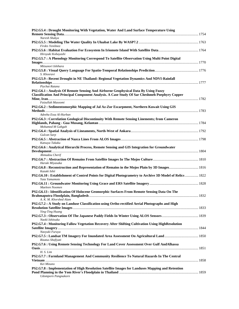| PS2.G5.4 : Drought Monitoring With Vegetation, Water And Land Surface Temperature Using                                                                                                    |  |
|--------------------------------------------------------------------------------------------------------------------------------------------------------------------------------------------|--|
| Naresh Shakya                                                                                                                                                                              |  |
| Firdes Yenilmez                                                                                                                                                                            |  |
| Hiroyuki Kobayashi                                                                                                                                                                         |  |
| PS2.G5.7: A Phenology Monitoring Correspond To Satellite Observation Using Multi Point Digital                                                                                             |  |
| Mitsunori Ishihara                                                                                                                                                                         |  |
| S. Khosravi                                                                                                                                                                                |  |
| PS2.G5.9 : Recent Drought in NE Thailand: Regional Vegetation Dynamics And NDVI-Rainfall<br>Piychat Ratana                                                                                 |  |
| PS2.G6.1 : Analysis Of Remote Sensing And Airborne Geophysical Data By Using Fuzzy<br><b>Classification And Principal Component Analysis. A Case Study Of Sar Cheshmeh Poephyry Copper</b> |  |
| Faizullah Masoomi<br>PS2.G6.2 : Sedimentomorphic Mapping of Jal Az-Zor Escarpment, Northern Kuwait Using GIS                                                                               |  |
| Adeeba Essa Al-Hurban<br>PS2.G6.3 : Correlation Geological Discontinuity With Remote Sensing Linements; from Cameron<br>Mohamed M Gahgah                                                   |  |
| Gulcan Sarp                                                                                                                                                                                |  |
| Katsuya Takaku                                                                                                                                                                             |  |
| PS2.G6.6 : Analytical Hierarchi Process, Remote Sensing and GIS Integration for Groundwater<br>Ahmadou Cherif                                                                              |  |
| Haruki Miyasaka                                                                                                                                                                            |  |
| Kazuki Ishii                                                                                                                                                                               |  |
| PS2.G6.10: Establishment of Control Points for Digital Photogrametry to Archive 3D Model of Relics  1822<br>Yuta Yamamoto                                                                  |  |
| Maeleen Noomen                                                                                                                                                                             |  |
| PS2.G6.13 : Identification Of Holocene Geomorphic Surfaces From Remote Sensing Data On The<br>A. K. M. Khorshed Alam                                                                       |  |
| PS2.G7.2: A Study on Landuse Classification using Ortho-rectified Aerial Photographs and High                                                                                              |  |
| Ying-Ting Huang<br>Naoki Ishitsuka                                                                                                                                                         |  |
| PS2.G7.4 : Monitoring Fallow Vegetation Recovery After Shifting Cultivation Using HighResolution<br>Naoyuki Furuya                                                                         |  |
| Rizatus Shofiyati                                                                                                                                                                          |  |
| PS2.G7.6 : Using Remote Sensing Technology For Land Cover Assessment Over Gulf AndAlhassa                                                                                                  |  |
| H. S. Lim<br>PS2.G7.7 : Farmland Management And Community Resilience To Natural Hazards In The Central<br>Kei Mizuno                                                                       |  |
| PS2.G7.8 : Implementation of High Resolution Satellite Images for Landuses Mapping and Retention<br>Udomporn Pangnakorn                                                                    |  |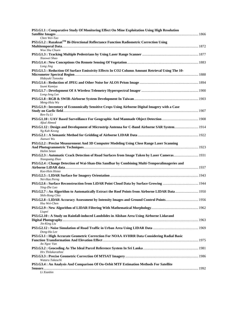| PS3.G1.1 : Comparative Study Of Monitoring Effect On Mine Exploitation Using High Resolution                   |  |
|----------------------------------------------------------------------------------------------------------------|--|
| Chen Wei-Tao                                                                                                   |  |
| PS3.G1.2 : Razaksat™ Bi-Directional Reflectance Function Radiometric Correction Using<br>Woo Shu Chuen         |  |
| Xiaowei Shao                                                                                                   |  |
| Long Jing                                                                                                      |  |
| PS3.G1.5 : Reduction Of Surface Emissivity Effects In CO2 Column Amount Retrieval Using The 10-                |  |
| Hideyuki Tonooka<br>Izumi Kamiya                                                                               |  |
| Long-Jeng Lee                                                                                                  |  |
| Meng-Hsiu Wu                                                                                                   |  |
| PS3.G1.9 : Inventory of Economically Sensitive Crops Using Airborne Digital Imagery with a Case                |  |
| Ren-Yu Li<br>Afzal Ahmed                                                                                       |  |
| PS3.G1.12: Design and Development of Microstrip Antenna for C-Band Airborne SAR System 1914<br>Ng Kah Keong    |  |
| Jianwei Wu                                                                                                     |  |
| PS3.G2.2 : Precise Measurement And 3D Computer Modeling Using Close Range Laser Scanning<br><b>Halim Setan</b> |  |
| Xiaoguang Zhao                                                                                                 |  |
| PS3.G2.4 : Change Detection of Wai-Shan-Din Sandbar by Combining Multi-Temporalimageries and                   |  |
| Kuo-Hsin Hsiao                                                                                                 |  |
| Nei-Hao Perng<br>Ying-Zhe Luo                                                                                  |  |
| Shih-Hong Chio                                                                                                 |  |
| Hsu Wei-Chen                                                                                                   |  |
| Liupei                                                                                                         |  |
| PS3.G2.10 : A Study on Rainfall-induced Landslides in Alishan Area Using Airborne Lidarand<br>Jin-King Liu     |  |
| Dong-Ha Lee                                                                                                    |  |
| PS3.G3.1 : High Accurate Geometric Correction For NOAA AVHRR Data Considering Radial Basic                     |  |
| An Ngoc Van<br>Hrs Thilakarathne                                                                               |  |
| Wataru Takeuchi                                                                                                |  |
| PS3.G3.4 : An Analysis And Comparison Of On-Orbit MTF Estimation Methods For Satellite                         |  |
| Li Xianbin                                                                                                     |  |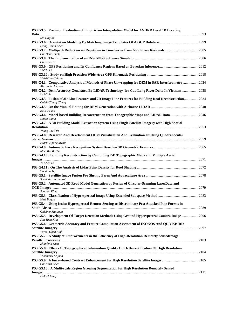| PS3.G3.5 : Precision Evaluation of Empiricism Interpolation Model for AVHRR Level 1B Locating<br>Data                       |  |
|-----------------------------------------------------------------------------------------------------------------------------|--|
| Ma Haijian                                                                                                                  |  |
| Liang-Chien Chen                                                                                                            |  |
| Chi-Hsiu Hsieh                                                                                                              |  |
| Chih-Yu Hu                                                                                                                  |  |
| Yi-Chi Li                                                                                                                   |  |
| Wei-Ming Chiang                                                                                                             |  |
| PS3.G4.1 : Comparative Analysis of Methods of Phase Unwrapping for DEM in SAR Interferometry  2024<br>Alexander Leonov      |  |
| PS3.G4.2 : Dem Accuracy Genarated By LIDAR Technology for Cuu Long River Delta In Vietnam 2028<br>Le Minh                   |  |
| PS3.G4.3 : Fusion of 3D Line Features and 2D Image Line Features for Building Roof Reconstruction 2034<br>Chieh-Chung Cheng |  |
| Hsin-Yu Ho                                                                                                                  |  |
| Sendo Wang                                                                                                                  |  |
| PS3.G4.7 : A 3D Building Model Extraction System Using Single Satellite Imagery with High Spatial                           |  |
| Young-Jae Lim<br>PS3.G4.8 : Research And Development Of 3d Visualization And Evaluation Of Using Quadranocular              |  |
| Htarni Hpone Myint                                                                                                          |  |
| Moe Ma Ma Tin                                                                                                               |  |
| PS3.G4.10 : Building Reconstruction by Combining 2-D Topographic Maps and Multiple Aerial                                   |  |
| Yi-Chen Li                                                                                                                  |  |
| Tee-Ann Teo                                                                                                                 |  |
| Surat Jiaranaiwiwat                                                                                                         |  |
| PS3.G5.2 : Automated 3D Road Model Generation by Fusion of Circular-Scanning LaserData and                                  |  |
| Sooahm Rhee                                                                                                                 |  |
| Hasi Bagan<br>PS3.G5.4 : Using Insitu Hyperspectral Remote Sensing to Discriminate Pest Attacked Pine Forests in            |  |
| Onisimo Mutanga<br>PS3.G5.5 : Development Of Target Detection Methods Using Ground Hyperspectral Camera Image  2096         |  |
| Sun-Hwa Kim<br>PS3.G5.6 : Geometric Accuracy and Feature Compilation Assessment of IKONOS And QUICKBIRD                     |  |
| Veysel Okan Atak                                                                                                            |  |
| PS3.G5.7: A Study of Improvements in the Efficiency of High-Resolution Remotely SensedImage                                 |  |
| Zhanfeng Shen<br>PS3.G5.8 : Effects Of Topographical Information Quality On Orthorectification Of High Resolution           |  |
| Toshiharu Kojima                                                                                                            |  |
| Chi-Farn Chen                                                                                                               |  |
| PS3.G5.10 : A Multi-scale Region Growing Segmentation for High Resolution Remotely Sensed                                   |  |
| Li-Yu Chang                                                                                                                 |  |